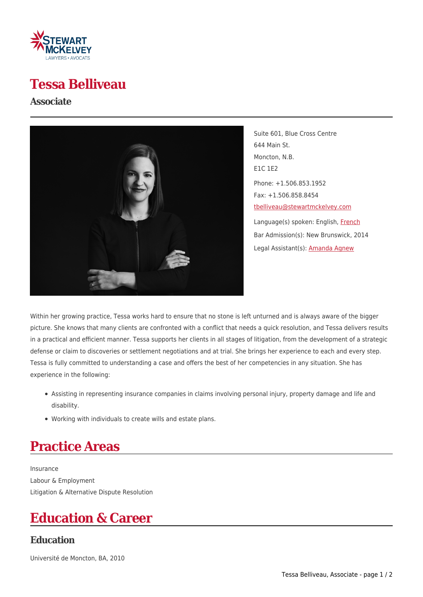

### **Tessa Belliveau**

#### **Associate**



Suite 601, Blue Cross Centre 644 Main St. Moncton, N.B. E1C 1E2 Phone: +1.506.853.1952 Fax: +1.506.858.8454 [tbelliveau@stewartmckelvey.com](mailto:tbelliveau@stewartmckelvey.com) Language(s) spoken: English, [French](https://www.stewartmckelvey.com/fr/people/belliveau-tessa) Bar Admission(s): New Brunswick, 2014 Legal Assistant(s): [Amanda Agnew](https://www.stewartmckelvey.com/legal_assistant/agnew-amanda)

Within her growing practice, Tessa works hard to ensure that no stone is left unturned and is always aware of the bigger picture. She knows that many clients are confronted with a conflict that needs a quick resolution, and Tessa delivers results in a practical and efficient manner. Tessa supports her clients in all stages of litigation, from the development of a strategic defense or claim to discoveries or settlement negotiations and at trial. She brings her experience to each and every step. Tessa is fully committed to understanding a case and offers the best of her competencies in any situation. She has experience in the following:

- Assisting in representing insurance companies in claims involving personal injury, property damage and life and disability.
- Working with individuals to create wills and estate plans.

# **Practice Areas**

Insurance Labour & Employment Litigation & Alternative Dispute Resolution

## **Education & Career**

#### **Education**

Université de Moncton, BA, 2010